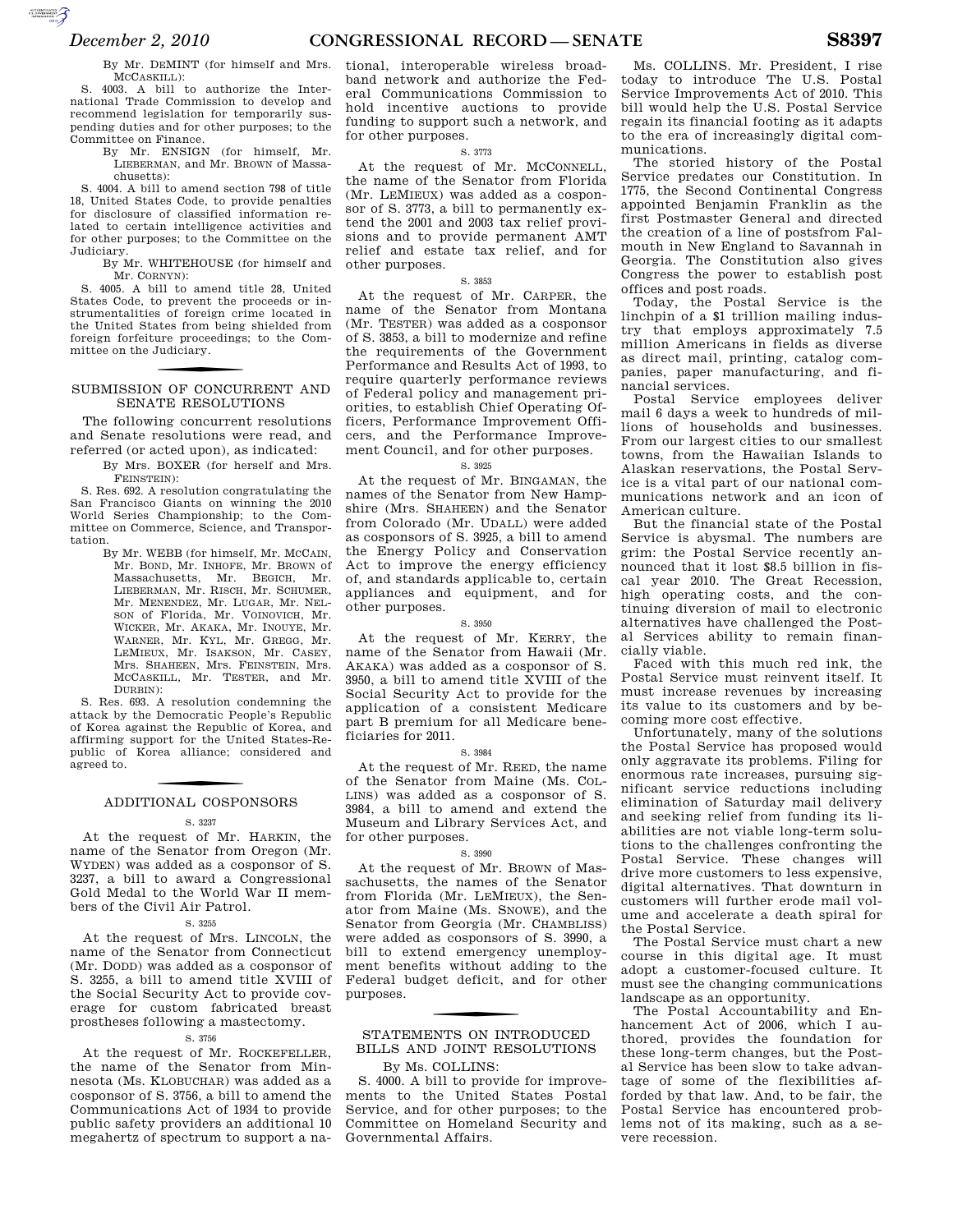By Mr. DEMINT (for himself and Mrs. MCCASKILL):

S. 4003. A bill to authorize the International Trade Commission to develop and recommend legislation for temporarily suspending duties and for other purposes; to the Committee on Finance.

By Mr. ENSIGN (for himself, Mr. LIEBERMAN, and Mr. BROWN of Massachusetts):

S. 4004. A bill to amend section 798 of title 18, United States Code, to provide penalties for disclosure of classified information related to certain intelligence activities and for other purposes; to the Committee on the Judiciary.

By Mr. WHITEHOUSE (for himself and Mr. CORNYN):

S. 4005. A bill to amend title 28, United States Code, to prevent the proceeds or instrumentalities of foreign crime located in the United States from being shielded from foreign forfeiture proceedings; to the Committee on the Judiciary.

## SUBMISSION OF CONCURRENT AND SENATE RESOLUTIONS

The following concurrent resolutions and Senate resolutions were read, and referred (or acted upon), as indicated:

> By Mrs. BOXER (for herself and Mrs. FEINSTEIN):

S. Res. 692. A resolution congratulating the San Francisco Giants on winning the 2010 World Series Championship; to the Committee on Commerce, Science, and Transportation.

By Mr. WEBB (for himself, Mr. MCCAIN, Mr. BOND, Mr. INHOFE, Mr. BROWN of Massachusetts, Mr. BEGICH, Mr. LIEBERMAN, Mr. RISCH, Mr. SCHUMER, Mr. MENENDEZ, Mr. LUGAR, Mr. NEL-SON of Florida, Mr. VOINOVICH, Mr. WICKER, Mr. AKAKA, Mr. INOUYE, Mr. WARNER, Mr. KYL, Mr. GREGG, Mr. LEMIEUX, Mr. ISAKSON, Mr. CASEY, Mrs. SHAHEEN, Mrs. FEINSTEIN, Mrs. MCCASKILL, Mr. TESTER, and Mr. DURBIN):

S. Res. 693. A resolution condemning the attack by the Democratic People's Republic of Korea against the Republic of Korea, and affirming support for the United States-Republic of Korea alliance; considered and agreed to.

# f ADDITIONAL COSPONSORS

#### S. 3237

At the request of Mr. HARKIN, the name of the Senator from Oregon (Mr. WYDEN) was added as a cosponsor of S. 3237, a bill to award a Congressional Gold Medal to the World War II members of the Civil Air Patrol.

### S. 3255

At the request of Mrs. LINCOLN, the name of the Senator from Connecticut (Mr. DODD) was added as a cosponsor of S. 3255, a bill to amend title XVIII of the Social Security Act to provide coverage for custom fabricated breast prostheses following a mastectomy.

#### S. 3756

At the request of Mr. ROCKEFELLER, the name of the Senator from Minnesota (Ms. KLOBUCHAR) was added as a cosponsor of S. 3756, a bill to amend the Communications Act of 1934 to provide public safety providers an additional 10 megahertz of spectrum to support a national, interoperable wireless broadband network and authorize the Federal Communications Commission to hold incentive auctions to provide funding to support such a network, and for other purposes.

## S. 3773

At the request of Mr. MCCONNELL, the name of the Senator from Florida (Mr. LEMIEUX) was added as a cosponsor of S. 3773, a bill to permanently extend the 2001 and 2003 tax relief provisions and to provide permanent AMT relief and estate tax relief, and for other purposes.

#### S. 3853

At the request of Mr. CARPER, the name of the Senator from Montana (Mr. TESTER) was added as a cosponsor of S. 3853, a bill to modernize and refine the requirements of the Government Performance and Results Act of 1993, to require quarterly performance reviews of Federal policy and management priorities, to establish Chief Operating Officers, Performance Improvement Officers, and the Performance Improvement Council, and for other purposes.

#### S. 3925

At the request of Mr. BINGAMAN, the names of the Senator from New Hampshire (Mrs. SHAHEEN) and the Senator from Colorado (Mr. UDALL) were added as cosponsors of S. 3925, a bill to amend the Energy Policy and Conservation Act to improve the energy efficiency of, and standards applicable to, certain appliances and equipment, and for other purposes.

#### S. 3950

At the request of Mr. KERRY, the name of the Senator from Hawaii (Mr. AKAKA) was added as a cosponsor of S. 3950, a bill to amend title XVIII of the Social Security Act to provide for the application of a consistent Medicare part B premium for all Medicare beneficiaries for 2011.

#### S. 3984

At the request of Mr. REED, the name of the Senator from Maine (Ms. COL-LINS) was added as a cosponsor of S. 3984, a bill to amend and extend the Museum and Library Services Act, and for other purposes.

#### S. 3990

At the request of Mr. BROWN of Massachusetts, the names of the Senator from Florida (Mr. LEMIEUX), the Senator from Maine (Ms. SNOWE), and the Senator from Georgia (Mr. CHAMBLISS) were added as cosponsors of S. 3990, a bill to extend emergency unemployment benefits without adding to the Federal budget deficit, and for other purposes.

## STATEMENTS ON INTRODUCED BILLS AND JOINT RESOLUTIONS

## By Ms. COLLINS:

S. 4000. A bill to provide for improvements to the United States Postal Service, and for other purposes; to the Committee on Homeland Security and Governmental Affairs.

Ms. COLLINS. Mr. President, I rise today to introduce The U.S. Postal Service Improvements Act of 2010. This bill would help the U.S. Postal Service regain its financial footing as it adapts to the era of increasingly digital communications.

The storied history of the Postal Service predates our Constitution. In 1775, the Second Continental Congress appointed Benjamin Franklin as the first Postmaster General and directed the creation of a line of postsfrom Falmouth in New England to Savannah in Georgia. The Constitution also gives Congress the power to establish post offices and post roads.

Today, the Postal Service is the linchpin of a \$1 trillion mailing industry that employs approximately 7.5 million Americans in fields as diverse as direct mail, printing, catalog companies, paper manufacturing, and financial services.

Postal Service employees deliver mail 6 days a week to hundreds of millions of households and businesses. From our largest cities to our smallest towns, from the Hawaiian Islands to Alaskan reservations, the Postal Service is a vital part of our national communications network and an icon of American culture.

But the financial state of the Postal Service is abysmal. The numbers are grim: the Postal Service recently announced that it lost \$8.5 billion in fiscal year 2010. The Great Recession, high operating costs, and the continuing diversion of mail to electronic alternatives have challenged the Postal Services ability to remain financially viable.

Faced with this much red ink, the Postal Service must reinvent itself. It must increase revenues by increasing its value to its customers and by becoming more cost effective.

Unfortunately, many of the solutions the Postal Service has proposed would only aggravate its problems. Filing for enormous rate increases, pursuing significant service reductions including elimination of Saturday mail delivery and seeking relief from funding its liabilities are not viable long-term solutions to the challenges confronting the Postal Service. These changes will drive more customers to less expensive, digital alternatives. That downturn in customers will further erode mail volume and accelerate a death spiral for the Postal Service.

The Postal Service must chart a new course in this digital age. It must adopt a customer-focused culture. It must see the changing communications landscape as an opportunity.

The Postal Accountability and Enhancement Act of 2006, which I authored, provides the foundation for these long-term changes, but the Postal Service has been slow to take advantage of some of the flexibilities afforded by that law. And, to be fair, the Postal Service has encountered problems not of its making, such as a severe recession.

AUTOROTOMICALE CONTINUES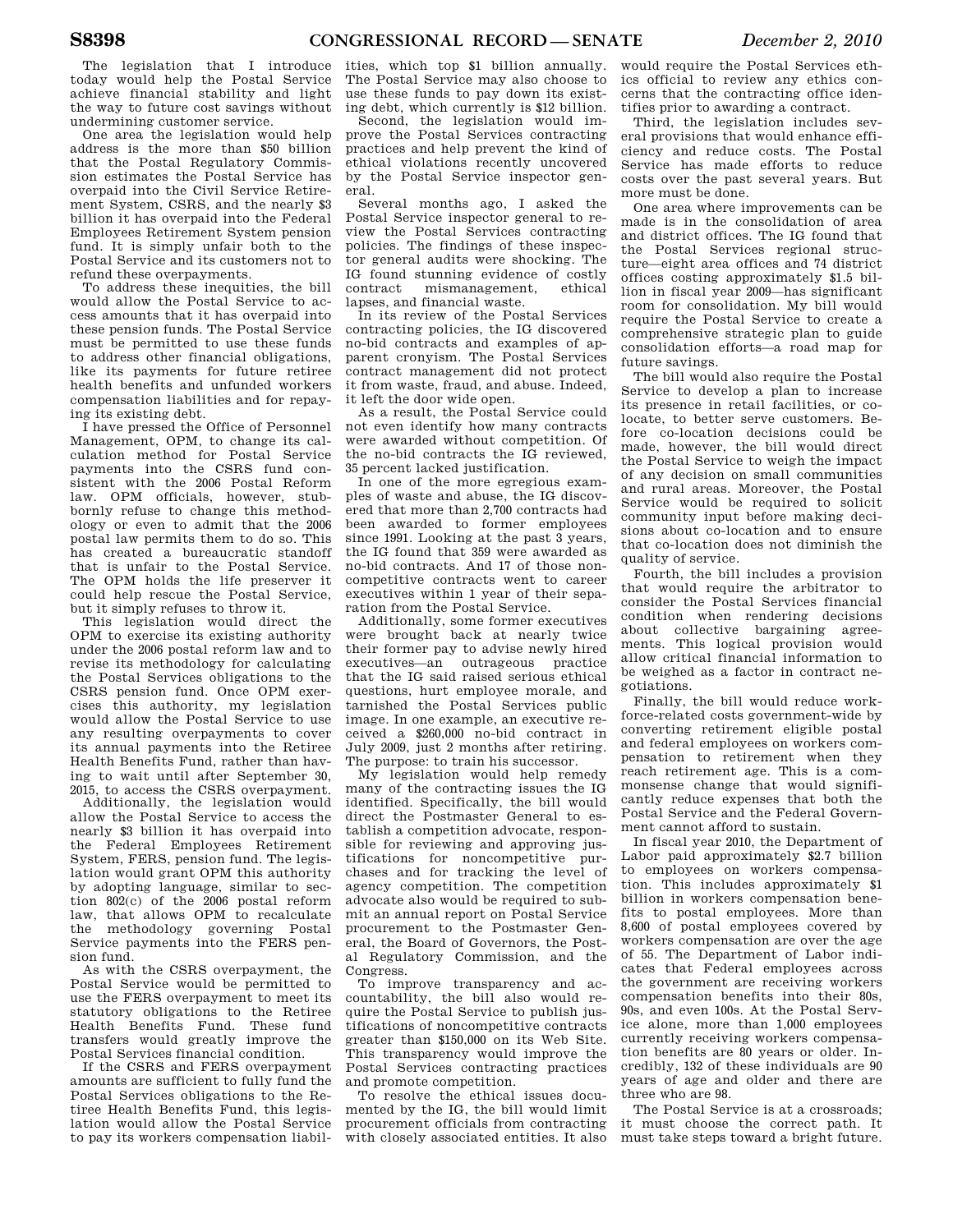The legislation that I introduce today would help the Postal Service achieve financial stability and light the way to future cost savings without undermining customer service.

One area the legislation would help address is the more than \$50 billion that the Postal Regulatory Commission estimates the Postal Service has overpaid into the Civil Service Retirement System, CSRS, and the nearly \$3 billion it has overpaid into the Federal Employees Retirement System pension fund. It is simply unfair both to the Postal Service and its customers not to refund these overpayments.

To address these inequities, the bill would allow the Postal Service to access amounts that it has overpaid into these pension funds. The Postal Service must be permitted to use these funds to address other financial obligations, like its payments for future retiree health benefits and unfunded workers compensation liabilities and for repaying its existing debt.

I have pressed the Office of Personnel Management, OPM, to change its calculation method for Postal Service payments into the CSRS fund consistent with the 2006 Postal Reform law. OPM officials, however, stubbornly refuse to change this methodology or even to admit that the 2006 postal law permits them to do so. This has created a bureaucratic standoff that is unfair to the Postal Service. The OPM holds the life preserver it could help rescue the Postal Service, but it simply refuses to throw it.

This legislation would direct the OPM to exercise its existing authority under the 2006 postal reform law and to revise its methodology for calculating the Postal Services obligations to the CSRS pension fund. Once OPM exercises this authority, my legislation would allow the Postal Service to use any resulting overpayments to cover its annual payments into the Retiree Health Benefits Fund, rather than having to wait until after September 30, 2015, to access the CSRS overpayment.

Additionally, the legislation would allow the Postal Service to access the nearly \$3 billion it has overpaid into the Federal Employees Retirement System, FERS, pension fund. The legislation would grant OPM this authority by adopting language, similar to section 802(c) of the 2006 postal reform law, that allows OPM to recalculate the methodology governing Postal Service payments into the FERS pension fund.

As with the CSRS overpayment, the Postal Service would be permitted to use the FERS overpayment to meet its statutory obligations to the Retiree Health Benefits Fund. These fund transfers would greatly improve the Postal Services financial condition.

If the CSRS and FERS overpayment amounts are sufficient to fully fund the Postal Services obligations to the Retiree Health Benefits Fund, this legislation would allow the Postal Service to pay its workers compensation liabil-

ities, which top \$1 billion annually. The Postal Service may also choose to use these funds to pay down its existing debt, which currently is \$12 billion.

Second, the legislation would improve the Postal Services contracting practices and help prevent the kind of ethical violations recently uncovered by the Postal Service inspector general.

Several months ago, I asked the Postal Service inspector general to review the Postal Services contracting policies. The findings of these inspector general audits were shocking. The IG found stunning evidence of costly contract mismanagement, ethical lapses, and financial waste.

In its review of the Postal Services contracting policies, the IG discovered no-bid contracts and examples of apparent cronyism. The Postal Services contract management did not protect it from waste, fraud, and abuse. Indeed, it left the door wide open.

As a result, the Postal Service could not even identify how many contracts were awarded without competition. Of the no-bid contracts the IG reviewed, 35 percent lacked justification.

In one of the more egregious examples of waste and abuse, the IG discovered that more than 2,700 contracts had been awarded to former employees since 1991. Looking at the past 3 years, the IG found that 359 were awarded as no-bid contracts. And 17 of those noncompetitive contracts went to career executives within 1 year of their separation from the Postal Service.

Additionally, some former executives were brought back at nearly twice their former pay to advise newly hired executives—an outrageous practice that the IG said raised serious ethical questions, hurt employee morale, and tarnished the Postal Services public image. In one example, an executive received a \$260,000 no-bid contract in July 2009, just 2 months after retiring. The purpose: to train his successor.

My legislation would help remedy many of the contracting issues the IG identified. Specifically, the bill would direct the Postmaster General to establish a competition advocate, responsible for reviewing and approving justifications for noncompetitive purchases and for tracking the level of agency competition. The competition advocate also would be required to submit an annual report on Postal Service procurement to the Postmaster General, the Board of Governors, the Postal Regulatory Commission, and the Congress.

To improve transparency and accountability, the bill also would require the Postal Service to publish justifications of noncompetitive contracts greater than \$150,000 on its Web Site. This transparency would improve the Postal Services contracting practices and promote competition.

To resolve the ethical issues documented by the IG, the bill would limit procurement officials from contracting with closely associated entities. It also

would require the Postal Services ethics official to review any ethics concerns that the contracting office identifies prior to awarding a contract.

Third, the legislation includes several provisions that would enhance efficiency and reduce costs. The Postal Service has made efforts to reduce costs over the past several years. But more must be done.

One area where improvements can be made is in the consolidation of area and district offices. The IG found that the Postal Services regional structure—eight area offices and 74 district offices costing approximately \$1.5 billion in fiscal year 2009—has significant room for consolidation. My bill would require the Postal Service to create a comprehensive strategic plan to guide consolidation efforts—a road map for future savings.

The bill would also require the Postal Service to develop a plan to increase its presence in retail facilities, or colocate, to better serve customers. Before co-location decisions could be made, however, the bill would direct the Postal Service to weigh the impact of any decision on small communities and rural areas. Moreover, the Postal Service would be required to solicit community input before making decisions about co-location and to ensure that co-location does not diminish the quality of service.

Fourth, the bill includes a provision that would require the arbitrator to consider the Postal Services financial condition when rendering decisions about collective bargaining agreements. This logical provision would allow critical financial information to be weighed as a factor in contract negotiations.

Finally, the bill would reduce workforce-related costs government-wide by converting retirement eligible postal and federal employees on workers compensation to retirement when they reach retirement age. This is a commonsense change that would significantly reduce expenses that both the Postal Service and the Federal Government cannot afford to sustain.

In fiscal year 2010, the Department of Labor paid approximately \$2.7 billion to employees on workers compensation. This includes approximately \$1 billion in workers compensation benefits to postal employees. More than 8,600 of postal employees covered by workers compensation are over the age of 55. The Department of Labor indicates that Federal employees across the government are receiving workers compensation benefits into their 80s, 90s, and even 100s. At the Postal Service alone, more than 1,000 employees currently receiving workers compensation benefits are 80 years or older. Incredibly, 132 of these individuals are 90 years of age and older and there are three who are 98.

The Postal Service is at a crossroads; it must choose the correct path. It must take steps toward a bright future.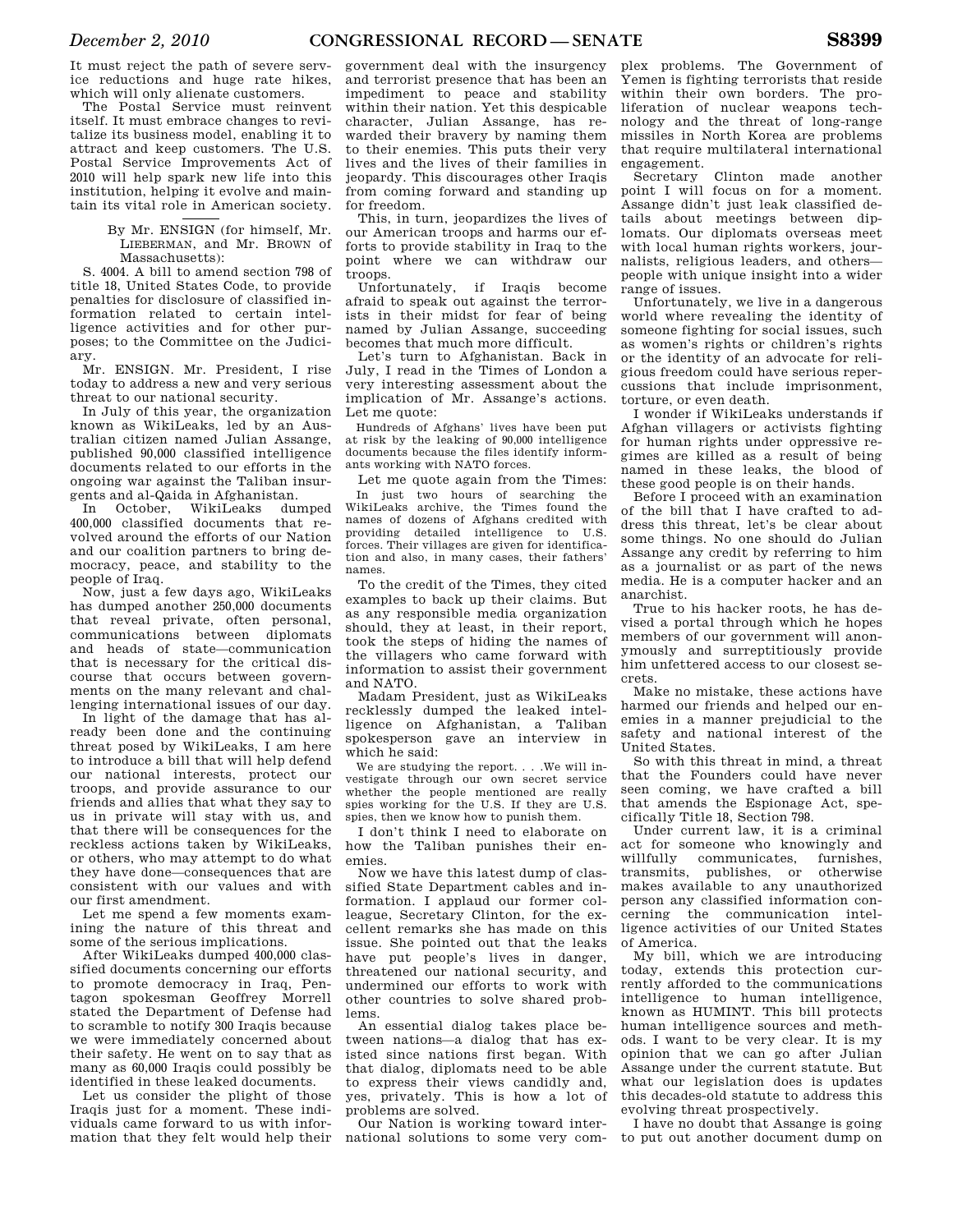It must reject the path of severe service reductions and huge rate hikes, which will only alienate customers.

The Postal Service must reinvent itself. It must embrace changes to revitalize its business model, enabling it to attract and keep customers. The U.S. Postal Service Improvements Act of 2010 will help spark new life into this institution, helping it evolve and maintain its vital role in American society.

> By Mr. ENSIGN (for himself, Mr. LIEBERMAN, and Mr. BROWN of Massachusetts):

S. 4004. A bill to amend section 798 of title 18, United States Code, to provide penalties for disclosure of classified information related to certain intelligence activities and for other purposes; to the Committee on the Judiciary.

Mr. ENSIGN. Mr. President, I rise today to address a new and very serious threat to our national security.

In July of this year, the organization known as WikiLeaks, led by an Australian citizen named Julian Assange, published 90,000 classified intelligence documents related to our efforts in the ongoing war against the Taliban insurgents and al-Qaida in Afghanistan.

In October, WikiLeaks dumped 400,000 classified documents that revolved around the efforts of our Nation and our coalition partners to bring democracy, peace, and stability to the people of Iraq.

Now, just a few days ago, WikiLeaks has dumped another 250,000 documents that reveal private, often personal, communications between diplomats and heads of state—communication that is necessary for the critical discourse that occurs between governments on the many relevant and challenging international issues of our day.

In light of the damage that has already been done and the continuing threat posed by WikiLeaks, I am here to introduce a bill that will help defend our national interests, protect our troops, and provide assurance to our friends and allies that what they say to us in private will stay with us, and that there will be consequences for the reckless actions taken by WikiLeaks, or others, who may attempt to do what they have done—consequences that are consistent with our values and with our first amendment.

Let me spend a few moments examining the nature of this threat and some of the serious implications.

After WikiLeaks dumped 400,000 classified documents concerning our efforts to promote democracy in Iraq, Pentagon spokesman Geoffrey Morrell stated the Department of Defense had to scramble to notify 300 Iraqis because we were immediately concerned about their safety. He went on to say that as many as 60,000 Iraqis could possibly be identified in these leaked documents.

Let us consider the plight of those Iraqis just for a moment. These individuals came forward to us with information that they felt would help their

government deal with the insurgency and terrorist presence that has been an impediment to peace and stability within their nation. Yet this despicable character, Julian Assange, has rewarded their bravery by naming them to their enemies. This puts their very lives and the lives of their families in jeopardy. This discourages other Iraqis from coming forward and standing up for freedom.

This, in turn, jeopardizes the lives of our American troops and harms our efforts to provide stability in Iraq to the point where we can withdraw our troops.

Unfortunately, if Iraqis become afraid to speak out against the terrorists in their midst for fear of being named by Julian Assange, succeeding becomes that much more difficult.

Let's turn to Afghanistan. Back in July, I read in the Times of London a very interesting assessment about the implication of Mr. Assange's actions. Let me quote:

Hundreds of Afghans' lives have been put at risk by the leaking of 90,000 intelligence documents because the files identify informants working with NATO forces.

Let me quote again from the Times: In just two hours of searching the WikiLeaks archive, the Times found the names of dozens of Afghans credited with<br>providing detailed intelligence to U.S. providing detailed intelligence to forces. Their villages are given for identification and also, in many cases, their fathers' names.

To the credit of the Times, they cited examples to back up their claims. But as any responsible media organization should, they at least, in their report, took the steps of hiding the names of the villagers who came forward with information to assist their government and NATO.

Madam President, just as WikiLeaks recklessly dumped the leaked intelligence on Afghanistan, a Taliban spokesperson gave an interview in which he said:

We are studying the report. . . .We will investigate through our own secret service whether the people mentioned are really spies working for the U.S. If they are U.S. spies, then we know how to punish them.

I don't think I need to elaborate on how the Taliban punishes their enemies.

Now we have this latest dump of classified State Department cables and information. I applaud our former colleague, Secretary Clinton, for the excellent remarks she has made on this issue. She pointed out that the leaks have put people's lives in danger, threatened our national security, and undermined our efforts to work with other countries to solve shared problems.

An essential dialog takes place between nations—a dialog that has existed since nations first began. With that dialog, diplomats need to be able to express their views candidly and, yes, privately. This is how a lot of problems are solved.

Our Nation is working toward international solutions to some very com-

plex problems. The Government of Yemen is fighting terrorists that reside within their own borders. The proliferation of nuclear weapons technology and the threat of long-range missiles in North Korea are problems that require multilateral international

engagement. Clinton made another point I will focus on for a moment. Assange didn't just leak classified details about meetings between diplomats. Our diplomats overseas meet with local human rights workers, journalists, religious leaders, and others people with unique insight into a wider range of issues.

Unfortunately, we live in a dangerous world where revealing the identity of someone fighting for social issues, such as women's rights or children's rights or the identity of an advocate for religious freedom could have serious repercussions that include imprisonment, torture, or even death.

I wonder if WikiLeaks understands if Afghan villagers or activists fighting for human rights under oppressive regimes are killed as a result of being named in these leaks, the blood of these good people is on their hands.

Before I proceed with an examination of the bill that I have crafted to address this threat, let's be clear about some things. No one should do Julian Assange any credit by referring to him as a journalist or as part of the news media. He is a computer hacker and an anarchist.

True to his hacker roots, he has devised a portal through which he hopes members of our government will anonymously and surreptitiously provide him unfettered access to our closest secrets.

Make no mistake, these actions have harmed our friends and helped our enemies in a manner prejudicial to the safety and national interest of the United States.

So with this threat in mind, a threat that the Founders could have never seen coming, we have crafted a bill that amends the Espionage Act, specifically Title 18, Section 798.

Under current law, it is a criminal act for someone who knowingly and willfully communicates, furnishes, transmits, publishes, or otherwise makes available to any unauthorized person any classified information concerning the communication intelligence activities of our United States of America.

My bill, which we are introducing today, extends this protection currently afforded to the communications intelligence to human intelligence, known as HUMINT. This bill protects human intelligence sources and methods. I want to be very clear. It is my opinion that we can go after Julian Assange under the current statute. But what our legislation does is updates this decades-old statute to address this evolving threat prospectively.

I have no doubt that Assange is going to put out another document dump on